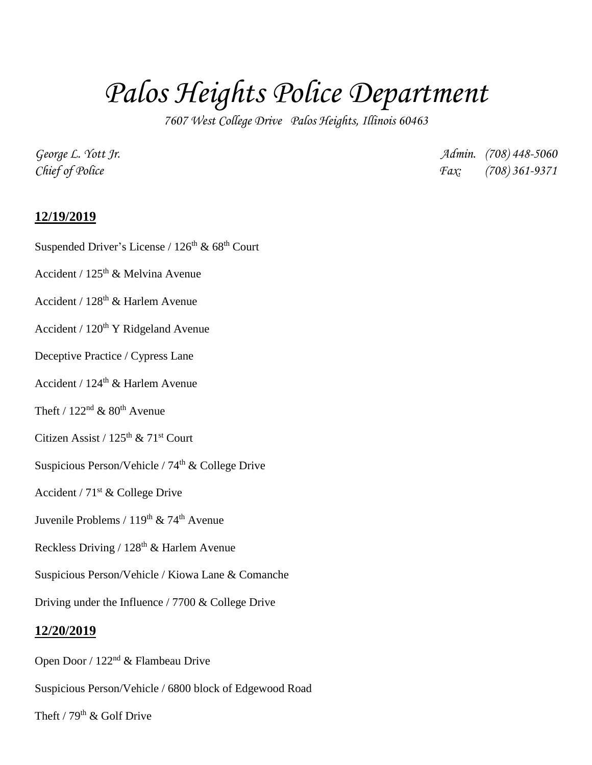# *Palos Heights Police Department*

*7607 West College Drive Palos Heights, Illinois 60463*

*George L. Yott Jr. Admin. (708) 448-5060 Chief of Police Fax: (708) 361-9371*

## **12/19/2019**

Suspended Driver's License /  $126^{th}$  &  $68^{th}$  Court

- Accident / 125th & Melvina Avenue
- Accident /  $128<sup>th</sup>$  & Harlem Avenue
- Accident /  $120<sup>th</sup>$  Y Ridgeland Avenue
- Deceptive Practice / Cypress Lane
- Accident /  $124^{\text{th}}$  & Harlem Avenue
- Theft /  $122<sup>nd</sup>$  &  $80<sup>th</sup>$  Avenue
- Citizen Assist /  $125<sup>th</sup>$  &  $71<sup>st</sup>$  Court
- Suspicious Person/Vehicle /  $74<sup>th</sup>$  & College Drive
- Accident /  $71<sup>st</sup>$  & College Drive
- Juvenile Problems / 119<sup>th</sup> & 74<sup>th</sup> Avenue
- Reckless Driving /  $128<sup>th</sup>$  & Harlem Avenue
- Suspicious Person/Vehicle / Kiowa Lane & Comanche
- Driving under the Influence / 7700 & College Drive

#### **12/20/2019**

- Open Door / 122nd & Flambeau Drive
- Suspicious Person/Vehicle / 6800 block of Edgewood Road
- Theft /  $79<sup>th</sup>$  & Golf Drive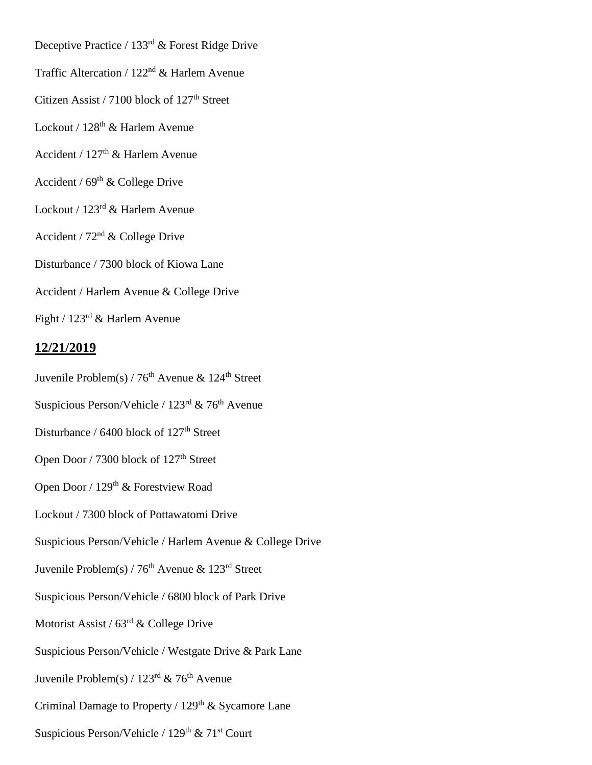Deceptive Practice / 133rd & Forest Ridge Drive

Traffic Altercation / 122nd & Harlem Avenue

Citizen Assist / 7100 block of 127<sup>th</sup> Street

Lockout / 128<sup>th</sup> & Harlem Avenue

Accident /  $127<sup>th</sup>$  & Harlem Avenue

Accident /  $69<sup>th</sup>$  & College Drive

Lockout / 123rd & Harlem Avenue

Accident /  $72<sup>nd</sup>$  & College Drive

Disturbance / 7300 block of Kiowa Lane

Accident / Harlem Avenue & College Drive

Fight / 123rd & Harlem Avenue

### **12/21/2019**

Juvenile Problem(s) /  $76<sup>th</sup>$  Avenue & 124<sup>th</sup> Street

Suspicious Person/Vehicle /  $123<sup>rd</sup>$  &  $76<sup>th</sup>$  Avenue

Disturbance / 6400 block of 127<sup>th</sup> Street

Open Door / 7300 block of 127<sup>th</sup> Street

Open Door / 129<sup>th</sup> & Forestview Road

Lockout / 7300 block of Pottawatomi Drive

Suspicious Person/Vehicle / Harlem Avenue & College Drive

Juvenile Problem(s) /  $76<sup>th</sup>$  Avenue & 123<sup>rd</sup> Street

Suspicious Person/Vehicle / 6800 block of Park Drive

Motorist Assist /  $63<sup>rd</sup>$  & College Drive

Suspicious Person/Vehicle / Westgate Drive & Park Lane

Juvenile Problem(s) /  $123<sup>rd</sup>$  & 76<sup>th</sup> Avenue

Criminal Damage to Property /  $129<sup>th</sup>$  & Sycamore Lane

Suspicious Person/Vehicle /  $129<sup>th</sup>$  &  $71<sup>st</sup>$  Court